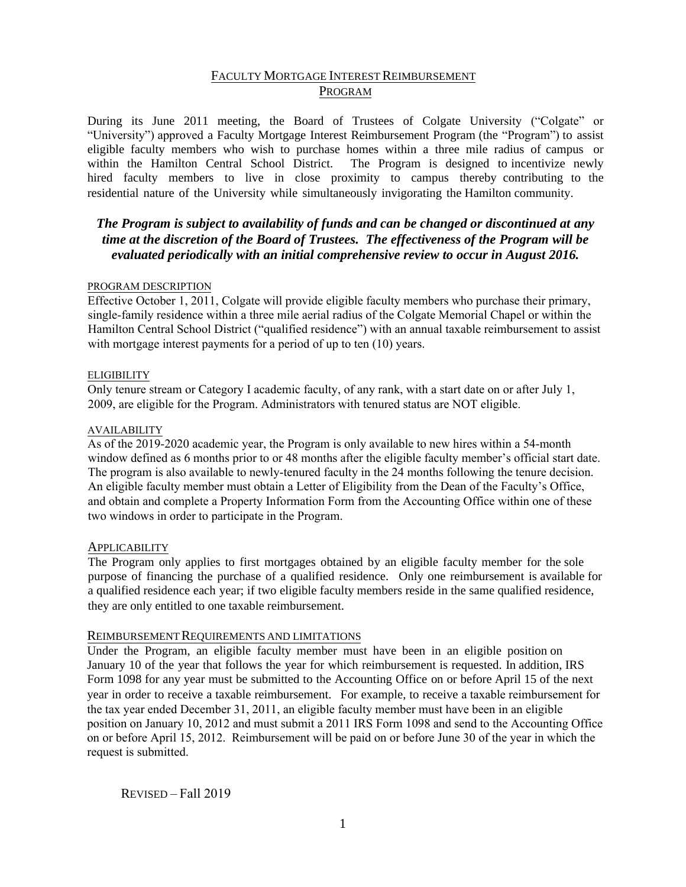# FACULTY MORTGAGE INTEREST REIMBURSEMENT PROGRAM

During its June 2011 meeting, the Board of Trustees of Colgate University ("Colgate" or "University") approved a Faculty Mortgage Interest Reimbursement Program (the "Program") to assist eligible faculty members who wish to purchase homes within a three mile radius of campus or within the Hamilton Central School District. The Program is designed to incentivize newly hired faculty members to live in close proximity to campus thereby contributing to the residential nature of the University while simultaneously invigorating the Hamilton community.

# *The Program is subject to availability of funds and can be changed or discontinued at any time at the discretion of the Board of Trustees. The effectiveness of the Program will be evaluated periodically with an initial comprehensive review to occur in August 2016.*

## PROGRAM DESCRIPTION

Effective October 1, 2011, Colgate will provide eligible faculty members who purchase their primary, single-family residence within a three mile aerial radius of the Colgate Memorial Chapel or within the Hamilton Central School District ("qualified residence") with an annual taxable reimbursement to assist with mortgage interest payments for a period of up to ten (10) years.

## **ELIGIBILITY**

Only tenure stream or Category I academic faculty, of any rank, with a start date on or after July 1, 2009, are eligible for the Program. Administrators with tenured status are NOT eligible.

## AVAILABILITY

As of the 2019-2020 academic year, the Program is only available to new hires within a 54-month window defined as 6 months prior to or 48 months after the eligible faculty member's official start date. The program is also available to newly-tenured faculty in the 24 months following the tenure decision. An eligible faculty member must obtain a Letter of Eligibility from the Dean of the Faculty's Office, and obtain and complete a Property Information Form from the Accounting Office within one of these two windows in order to participate in the Program.

# **APPLICABILITY**

The Program only applies to first mortgages obtained by an eligible faculty member for the sole purpose of financing the purchase of a qualified residence. Only one reimbursement is available for a qualified residence each year; if two eligible faculty members reside in the same qualified residence, they are only entitled to one taxable reimbursement.

#### REIMBURSEMENT REQUIREMENTS AND LIMITATIONS

Under the Program, an eligible faculty member must have been in an eligible position on January 10 of the year that follows the year for which reimbursement is requested. In addition, IRS Form 1098 for any year must be submitted to the Accounting Office on or before April 15 of the next year in order to receive a taxable reimbursement. For example, to receive a taxable reimbursement for the tax year ended December 31, 2011, an eligible faculty member must have been in an eligible position on January 10, 2012 and must submit a 2011 IRS Form 1098 and send to the Accounting Office on or before April 15, 2012. Reimbursement will be paid on or before June 30 of the year in which the request is submitted.

REVISED – Fall 2019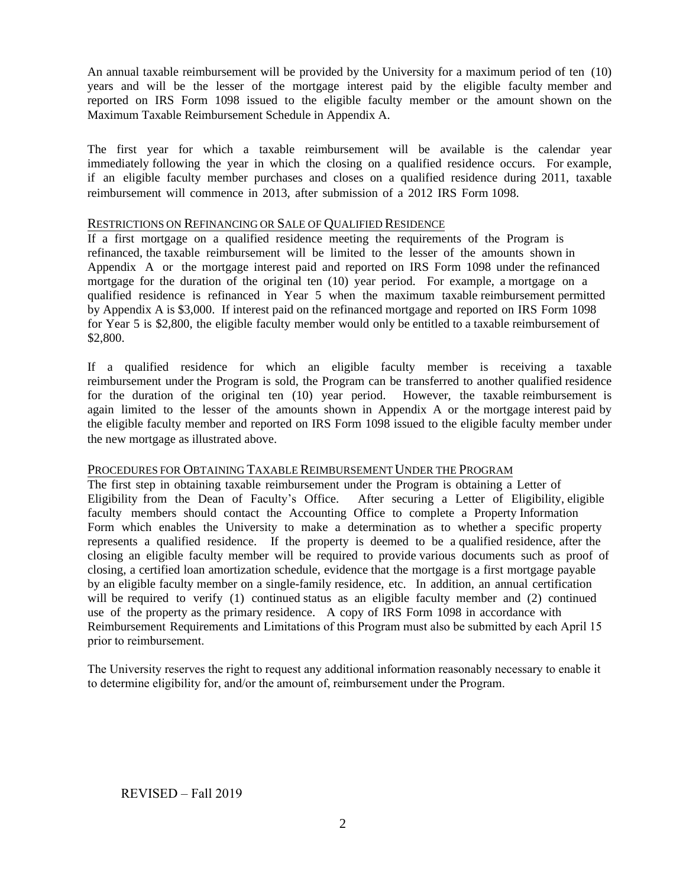An annual taxable reimbursement will be provided by the University for a maximum period of ten (10) years and will be the lesser of the mortgage interest paid by the eligible faculty member and reported on IRS Form 1098 issued to the eligible faculty member or the amount shown on the Maximum Taxable Reimbursement Schedule in Appendix A.

The first year for which a taxable reimbursement will be available is the calendar year immediately following the year in which the closing on a qualified residence occurs. For example, if an eligible faculty member purchases and closes on a qualified residence during 2011, taxable reimbursement will commence in 2013, after submission of a 2012 IRS Form 1098.

#### RESTRICTIONS ON REFINANCING OR SALE OF QUALIFIED RESIDENCE

If a first mortgage on a qualified residence meeting the requirements of the Program is refinanced, the taxable reimbursement will be limited to the lesser of the amounts shown in Appendix A or the mortgage interest paid and reported on IRS Form 1098 under the refinanced mortgage for the duration of the original ten (10) year period. For example, a mortgage on a qualified residence is refinanced in Year 5 when the maximum taxable reimbursement permitted by Appendix A is \$3,000. If interest paid on the refinanced mortgage and reported on IRS Form 1098 for Year 5 is \$2,800, the eligible faculty member would only be entitled to a taxable reimbursement of \$2,800.

If a qualified residence for which an eligible faculty member is receiving a taxable reimbursement under the Program is sold, the Program can be transferred to another qualified residence for the duration of the original ten (10) year period. However, the taxable reimbursement is again limited to the lesser of the amounts shown in Appendix A or the mortgage interest paid by the eligible faculty member and reported on IRS Form 1098 issued to the eligible faculty member under the new mortgage as illustrated above.

# PROCEDURES FOR OBTAINING TAXABLE REIMBURSEMENT UNDER THE PROGRAM

The first step in obtaining taxable reimbursement under the Program is obtaining a Letter of Eligibility from the Dean of Faculty's Office. After securing a Letter of Eligibility, eligible faculty members should contact the Accounting Office to complete a Property Information Form which enables the University to make a determination as to whether a specific property represents a qualified residence. If the property is deemed to be a qualified residence, after the closing an eligible faculty member will be required to provide various documents such as proof of closing, a certified loan amortization schedule, evidence that the mortgage is a first mortgage payable by an eligible faculty member on a single-family residence, etc. In addition, an annual certification will be required to verify (1) continued status as an eligible faculty member and (2) continued use of the property as the primary residence. A copy of IRS Form 1098 in accordance with Reimbursement Requirements and Limitations of this Program must also be submitted by each April 15 prior to reimbursement.

The University reserves the right to request any additional information reasonably necessary to enable it to determine eligibility for, and/or the amount of, reimbursement under the Program.

REVISED – Fall 2019